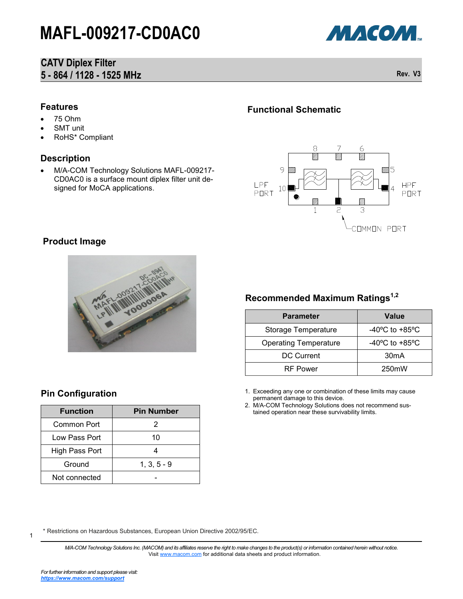## **CATV Diplex Filter 5 - 864 / 1128 - 1525 MHz Rev. V3**

МАСОМ.

#### **Features**

- 75 Ohm
- SMT unit
- RoHS\* Compliant

#### **Description**

 M/A-COM Technology Solutions MAFL-009217- CD0AC0 is a surface mount diplex filter unit designed for MoCA applications.

### **Functional Schematic**



### **Product Image**



## **Recommended Maximum Ratings1,2**

| <b>Parameter</b>             | <b>Value</b>                       |  |  |
|------------------------------|------------------------------------|--|--|
| Storage Temperature          | $-40^{\circ}$ C to $+85^{\circ}$ C |  |  |
| <b>Operating Temperature</b> | $-40^{\circ}$ C to $+85^{\circ}$ C |  |  |
| <b>DC Current</b>            | 30 <sub>m</sub> A                  |  |  |
| <b>RF</b> Power              | 250 <sub>m</sub> W                 |  |  |

1. Exceeding any one or combination of these limits may cause permanent damage to this device.

2. M/A-COM Technology Solutions does not recommend sustained operation near these survivability limits.

### **Pin Configuration**

| <b>Function</b> | <b>Pin Number</b> |
|-----------------|-------------------|
| Common Port     | 2                 |
| Low Pass Port   | 10                |
| High Pass Port  |                   |
| Ground          | $1, 3, 5 - 9$     |
| Not connected   |                   |

\* Restrictions on Hazardous Substances, European Union Directive 2002/95/EC.

*M/A-COM Technology Solutions Inc. (MACOM) and its affiliates reserve the right to make changes to the product(s) or information contained herein without notice.*  Visit [www.macom.com](http://www.macom.com/) for additional data sheets and product information.

1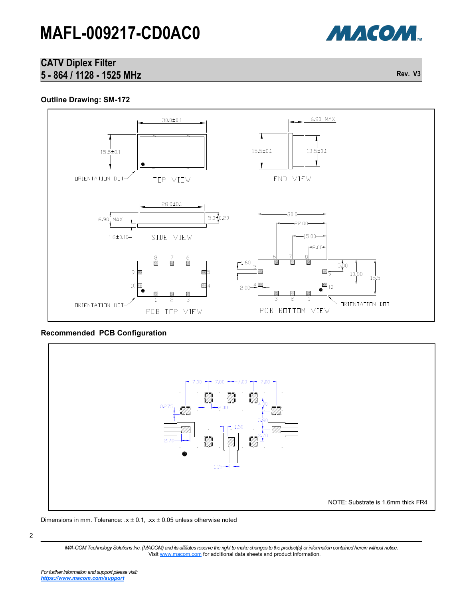

## **CATV Diplex Filter 5 - 864 / 1128 - 1525 MHz Rev. V3**

#### **Outline Drawing: SM-172**



#### **Recommended PCB Configuration**



#### Dimensions in mm. Tolerance:  $x \pm 0.1$ ,  $xx \pm 0.05$  unless otherwise noted

*M/A-COM Technology Solutions Inc. (MACOM) and its affiliates reserve the right to make changes to the product(s) or information contained herein without notice.*  Visit [www.macom.com](http://www.macom.com/) for additional data sheets and product information.

2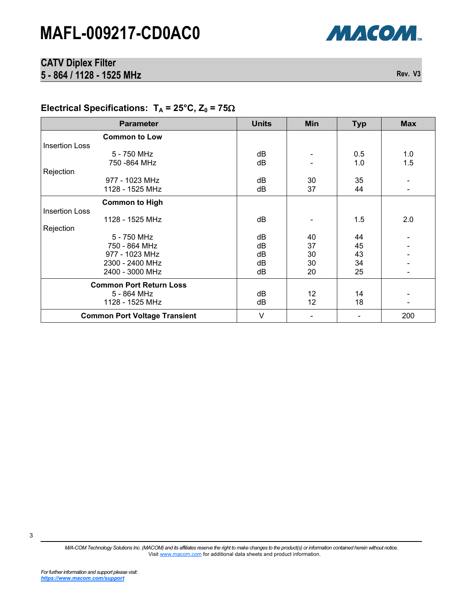

## **CATV Diplex Filter 5 - 864 / 1128 - 1525 MHz Rev. V3**

# Electrical Specifications:  $T_A = 25^\circ \text{C}, Z_0 = 75 \Omega$

| <b>Parameter</b>                     | <b>Units</b> | <b>Min</b>      | <b>Typ</b> | <b>Max</b>               |
|--------------------------------------|--------------|-----------------|------------|--------------------------|
| <b>Common to Low</b>                 |              |                 |            |                          |
| <b>Insertion Loss</b>                |              |                 |            |                          |
| 5 - 750 MHz                          | dB           |                 | 0.5        | 1.0                      |
| 750 - 864 MHz                        | dB           |                 | 1.0        | 1.5                      |
| Rejection                            |              |                 |            |                          |
| 977 - 1023 MHz                       | dB           | 30              | 35         |                          |
| 1128 - 1525 MHz                      | dB           | 37              | 44         | $\overline{\phantom{a}}$ |
| <b>Common to High</b>                |              |                 |            |                          |
| <b>Insertion Loss</b>                |              |                 |            |                          |
| 1128 - 1525 MHz                      | dB           |                 | 1.5        | 2.0                      |
| Rejection                            |              |                 |            |                          |
| 5 - 750 MHz                          | dB           | 40              | 44         |                          |
| 750 - 864 MHz                        | dB           | 37              | 45         |                          |
| 977 - 1023 MHz                       | dB           | 30              | 43         |                          |
| 2300 - 2400 MHz                      | dB           | 30              | 34         |                          |
| 2400 - 3000 MHz                      | dB           | 20              | 25         |                          |
| <b>Common Port Return Loss</b>       |              |                 |            |                          |
| 5 - 864 MHz                          | dB           | 12 <sub>2</sub> | 14         |                          |
| 1128 - 1525 MHz                      | dB           | 12              | 18         |                          |
| <b>Common Port Voltage Transient</b> | $\vee$       |                 |            | 200                      |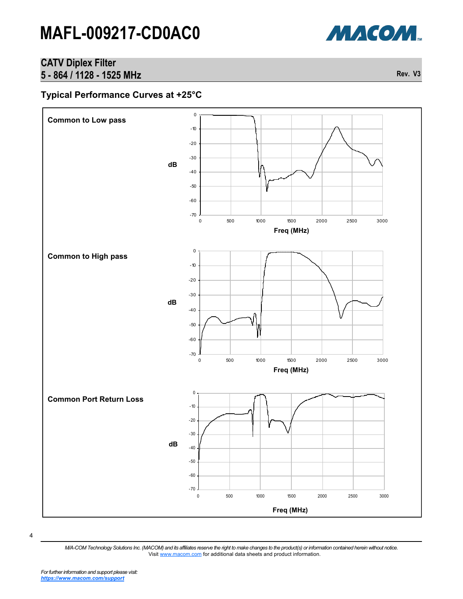

## **CATV Diplex Filter 5 - 864 / 1128 - 1525 MHz Rev. V3**

### **Typical Performance Curves at +25°C**



4

*M/A-COM Technology Solutions Inc. (MACOM) and its affiliates reserve the right to make changes to the product(s) or information contained herein without notice.*  Visit [www.macom.com](http://www.macom.com/) for additional data sheets and product information.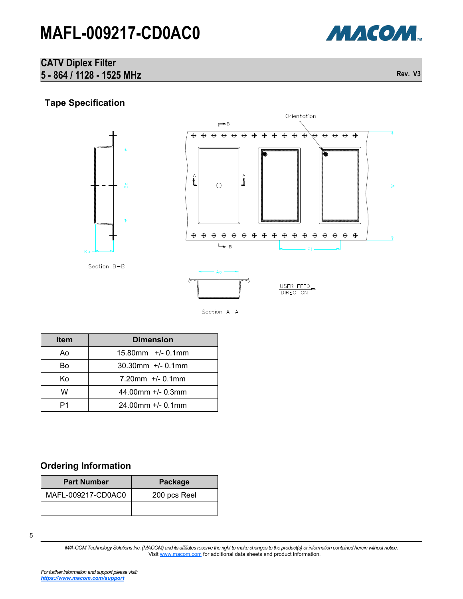

### **CATV Diplex Filter 5 - 864 / 1128 - 1525 MHz Rev. V3**

## **Tape Specification**





| <b>Item</b> | <b>Dimension</b>        |  |
|-------------|-------------------------|--|
| Ao          | $15.80$ mm $+/- 0.1$ mm |  |
| B٥          | $30.30$ mm +/- 0.1mm    |  |
| Kο          | $7.20$ mm $+/- 0.1$ mm  |  |
| w           | 44.00mm $+/- 0.3$ mm    |  |
|             | $24.00$ mm $+/- 0.1$ mm |  |

## **Ordering Information**

| <b>Part Number</b> | Package      |
|--------------------|--------------|
| MAFL-009217-CD0AC0 | 200 pcs Reel |
|                    |              |

*M/A-COM Technology Solutions Inc. (MACOM) and its affiliates reserve the right to make changes to the product(s) or information contained herein without notice.*  Visit [www.macom.com](http://www.macom.com/) for additional data sheets and product information.